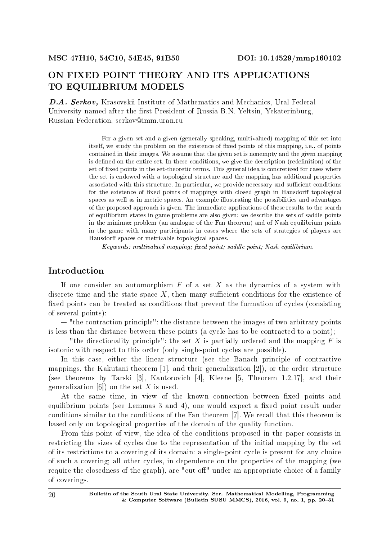# ON FIXED POINT THEORY AND ITS APPLICATIONS TO EQUILIBRIUM MODELS

D.A. Serkov, Krasovskii Institute of Mathematics and Mechanics, Ural Federal University named after the first President of Russia B.N. Yeltsin, Yekaterinburg, Russian Federation, serkov@imm.uran.ru

> For a given set and a given (generally speaking, multivalued) mapping of this set into itself, we study the problem on the existence of fixed points of this mapping, i.e., of points contained in their images. We assume that the given set is nonempty and the given mapping is defined on the entire set. In these conditions, we give the description (redefinition) of the set of fixed points in the set-theoretic terms. This general idea is concretized for cases where the set is endowed with a topological structure and the mapping has additional properties associated with this structure. In particular, we provide necessary and sufficient conditions for the existence of fixed points of mappings with closed graph in Hausdorff topological spaces as well as in metric spaces. An example illustrating the possibilities and advantages of the proposed approach is given. The immediate applications of these results to the search of equilibrium states in game problems are also given: we describe the sets of saddle points in the minimax problem (an analogue of the Fan theorem) and of Nash equilibrium points in the game with many participants in cases where the sets of strategies of players are Hausdorff spaces or metrizable topological spaces.

Keywords: multivalued mapping; fixed point; saddle point; Nash equilibrium.

# Introduction

If one consider an automorphism *F* of a set *X* as the dynamics of a system with discrete time and the state space  $X$ , then many sufficient conditions for the existence of fixed points can be treated as conditions that prevent the formation of cycles (consisting of several points):

 $-$  "the contraction principle": the distance between the images of two arbitrary points is less than the distance between these points (a cycle has to be contracted to a point);

 $-$  "the directionality principle": the set X is partially ordered and the mapping F is isotonic with respect to this order (only single-point cycles are possible).

In this case, either the linear structure (see the Banach principle of contractive mappings, the Kakutani theorem [1], and their generalization [2]), or the order structure (see theorems by Tarski [3], Kantorovich [4], Kleene [5, Theorem 1.2.17], and their generalization [6]) on the set *X* is used.

At the same time, in view of the known connection between fixed points and equilibrium points (see Lemmas  $3$  and  $4$ ), one would expect a fixed point result under conditions similar to the conditions of the Fan theorem [7]. We recall that this theorem is based only on topological properties of the domain of the quality function.

From this point of view, the idea of the conditions proposed in the paper consists in restricting the sizes of cycles due to the representation of the initial mapping by the set of its restrictions to a covering of its domain: a single-point cycle is present for any choice of such a covering; all other cycles, in dependence on the properties of the mapping (we require the closedness of the graph), are "cut off" under an appropriate choice of a family of coverings.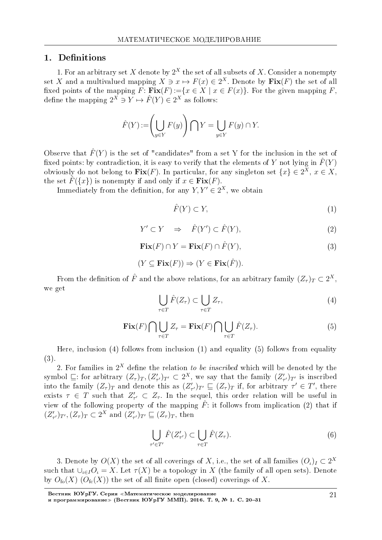# 1. Definitions

1. For an arbitrary set *X* denote by 2 *<sup>X</sup>* the set of all subsets of *X*. Consider a nonempty set *X* and a multivalued mapping  $X \ni x \mapsto F(x) \in 2^X$ . Denote by  $\textbf{Fix}(F)$  the set of all fixed points of the mapping  $F: Fix(F):={x \in X \mid x \in F(x)}$ . For the given mapping  $F$ , define the mapping  $2^X \ni Y \mapsto \hat{F}(Y) \in 2^X$  as follows:

$$
\hat{F}(Y) := \left(\bigcup_{y \in Y} F(y)\right) \bigcap Y = \bigcup_{y \in Y} F(y) \cap Y.
$$

Observe that  $\hat{F}(Y)$  is the set of "candidates" from a set Y for the inclusion in the set of fixed points: by contradiction, it is easy to verify that the elements of *Y* not lying in  $\hat{F}(Y)$ obviously do not belong to  $\textbf{Fix}(F)$ . In particular, for any singleton set  $\{x\} \in 2^X$ ,  $x \in X$ , the set  $\hat{F}(\{x\})$  is nonempty if and only if  $x \in \text{Fix}(F)$ .

Immediately from the definition, for any  $Y, Y' \in 2^X$ , we obtain

$$
\hat{F}(Y) \subset Y,\tag{1}
$$

$$
Y' \subset Y \quad \Rightarrow \quad \hat{F}(Y') \subset \hat{F}(Y), \tag{2}
$$

$$
\mathbf{Fix}(F) \cap Y = \mathbf{Fix}(F) \cap \hat{F}(Y),\tag{3}
$$

$$
(Y \subseteq \mathbf{Fix}(F)) \Rightarrow (Y \in \mathbf{Fix}(\hat{F})).
$$

From the definition of  $\hat{F}$  and the above relations, for an arbitrary family  $(Z_{\tau})_T \subset 2^X$ , we get

$$
\bigcup_{\tau \in T} \hat{F}(Z_{\tau}) \subset \bigcup_{\tau \in T} Z_{\tau},\tag{4}
$$

$$
\mathbf{Fix}(F)\bigcap \bigcup_{\tau\in T} Z_{\tau} = \mathbf{Fix}(F)\bigcap \bigcup_{\tau\in T} \hat{F}(Z_{\tau}).\tag{5}
$$

Here, inclusion (4) follows from inclusion (1) and equality (5) follows from equality (3).

2. For families in  $2^X$  define the relation to be inscribed which will be denoted by the symbol  $\subseteq$ : for arbitrary  $(Z_{\tau})_T, (Z'_{\tau'})_{T'} \subset 2^X$ , we say that the family  $(Z'_{\tau'})_{T'}$  is inscribed into the family  $(Z_{\tau})_T$  and denote this as  $(Z'_{\tau'})_{T'} \subseteq (Z_{\tau})_T$  if, for arbitrary  $\tau' \in T'$ , there exists  $\tau \in T$  such that  $Z'_{\tau'} \subset Z_{\tau}$ . In the sequel, this order relation will be useful in view of the following property of the mapping  $\hat{F}$ : it follows from implication (2) that if  $(Z'_{\tau'})_{T'}$ ,  $(Z_{\tau})_T \subset 2^X$  and  $(Z'_{\tau'})_{T'} \sqsubseteq (Z_{\tau})_T$ , then

$$
\bigcup_{\tau' \in T'} \hat{F}(Z'_{\tau'}) \subset \bigcup_{\tau \in T} \hat{F}(Z_{\tau}).\tag{6}
$$

3. Denote by  $O(X)$  the set of all coverings of  $X$ , i.e., the set of all families  $(O_\iota)_I \subset 2^X$ such that  $\bigcup_{\iota \in I} O_{\iota} = X$ . Let  $\tau(X)$  be a topology in X (the family of all open sets). Denote by  $O_{f_{\mathcal{O}}}(X)$  ( $O_{f_{\mathcal{C}}}(X)$ ) the set of all finite open (closed) coverings of X.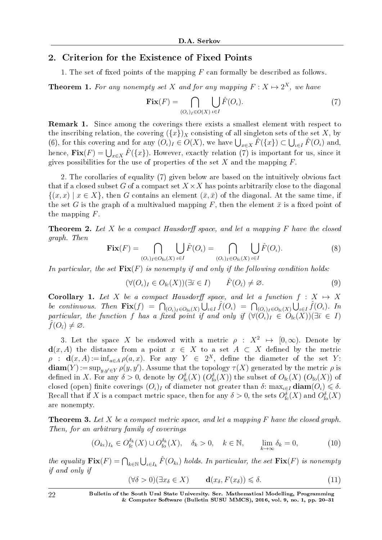## 2. Criterion for the Existence of Fixed Points

1. The set of fixed points of the mapping *F* can formally be described as follows.

**Theorem 1.** For any nonempty set *X* and for any mapping  $F: X \mapsto 2^X$ , we have

$$
\mathbf{Fix}(F) = \bigcap_{(O_\iota)_I \in O(X)} \bigcup_{\iota \in I} \hat{F}(O_\iota). \tag{7}
$$

Remark 1. Since among the coverings there exists a smallest element with respect to the inscribing relation, the covering  $({x})_X$  consisting of all singleton sets of the set *X*, by (6), for this covering and for any  $(O_\iota)_I \in O(X)$ , we have  $\bigcup_{x \in X} \hat{F}(\{x\}) \subset \bigcup_{\iota \in I} \hat{F}(O_\iota)$  and, hence,  $\mathbf{Fix}(F) = \bigcup_{x \in X} \hat{F}(\{x\})$ . However, exactly relation (7) is important for us, since it gives possibilities for the use of properties of the set  $X$  and the mapping  $F$ .

2. The corollaries of equality (7) given below are based on the intuitively obvious fact that if a closed subset *G* of a compact set  $X \times X$  has points arbitrarily close to the diagonal  $\{(x, x) | x \in X\}$ , then *G* contains an element  $(\bar{x}, \bar{x})$  of the diagonal. At the same time, if the set *G* is the graph of a multivalued mapping *F*, then the element  $\bar{x}$  is a fixed point of the mapping *F*.

**Theorem 2.** Let X be a compact Hausdorff space, and let a mapping  $F$  have the closed graph. Then

$$
\mathbf{Fix}(F) = \bigcap_{(O_\iota)_I \in O_{\text{fo}}(X)} \bigcup_{\iota \in I} \hat{F}(O_\iota) = \bigcap_{(O_\iota)_I \in O_{\text{fc}}(X)} \bigcup_{\iota \in I} \hat{F}(O_\iota). \tag{8}
$$

In particular, the set  $\text{Fix}(F)$  is nonempty if and only if the following condition holds:

$$
(\forall (O_i)_I \in O_{\text{fc}}(X))(\exists \overline{\iota} \in I) \qquad \hat{F}(O_{\overline{\iota}}) \neq \varnothing. \tag{9}
$$

Corollary 1. Let *X* be a compact Hausdorff space, and let a function  $f : X \mapsto X$ be continuous. Then  $\mathbf{Fix}(f) = \bigcap_{(O_\iota)_I \in O_{\text{fo}}(X)} \bigcup_{\iota \in I} \hat{f}(O_\iota) = \bigcap_{(O_\iota)_I \in O_{\text{fc}}(X)} \bigcup_{\iota \in I} \hat{f}(O_\iota)$ . In particular, the function *f* has a fixed point if and only if  $(\forall (O_\iota)_I \in O_{\text{fc}}(X))(\exists \overline{\iota} \in I)$  $f(O_{\bar{\iota}}) \neq \emptyset$ .

3. Let the space *X* be endowed with a metric  $\rho : X^2 \mapsto [0, \infty)$ . Denote by **d**(*x, A*) the distance from a point *x* ∈ *X* to a set *A* ⊂ *X* defined by the metric  $\rho$  : **d** $(x, A) := inf_{a \in A} \rho(a, x)$ . For any  $Y \in 2^X$ , define the diameter of the set *Y*:  $\textbf{diam}(Y) := \sup_{y,y' \in Y} \rho(y,y')$ . Assume that the topology  $\tau(X)$  generated by the metric  $\rho$  is defined in X. For any  $\delta > 0$ , denote by  $O_{\text{fc}}^{\delta}(X)$   $(O_{\text{fo}}^{\delta}(X))$  the subset of  $O_{\text{fc}}(X)$   $(O_{\text{fo}}(X))$  of closed (open) finite coverings  $(O_{\iota})_I$  of diameter not greater than  $\delta$ : max<sub>*ι* $\epsilon I$ </sub> diam $(O_{\iota}) \leq \delta$ . Recall that if  $X$  is a compact metric space, then for any  $\delta > 0$ , the sets  $O_{\rm fc}^{\delta}(X)$  and  $O_{\rm fo}^{\delta}(X)$ are nonempty.

Theorem 3. Let *X* be a compact metric space, and let a mapping *F* have the closed graph. Then, for an arbitrary family of coverings

$$
(O_{k\iota})_{I_k} \in O_{\text{fc}}^{\delta_k}(X) \cup O_{\text{fo}}^{\delta_k}(X), \quad \delta_k > 0, \quad k \in \mathbb{N}, \qquad \lim_{k \to \infty} \delta_k = 0,
$$
 (10)

the equality  $\mathbf{Fix}(F) = \bigcap_{k \in \mathbb{N}} \bigcup_{\iota \in I_k} \hat{F}(O_{k\iota})$  holds. In particular, the set  $\mathbf{Fix}(F)$  is nonempty if and only if

$$
(\forall \delta > 0)(\exists x_{\delta} \in X) \qquad \mathbf{d}(x_{\delta}, F(x_{\delta})) \leq \delta. \tag{11}
$$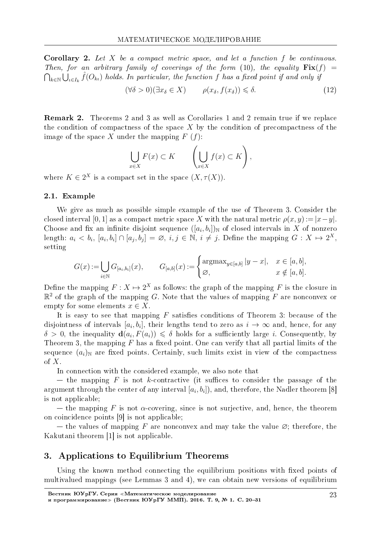Corollary 2. Let *X* be a compact metric space, and let a function *f* be continuous. Then, for an arbitrary family of coverings of the form (10), the equality  $\mathbf{Fix}(f)$  =  $\bigcap_{k\in\mathbb{N}}\bigcup_{\iota\in I_k}\hat{f}(O_{k\iota})$  holds. In particular, the function *f* has a fixed point if and only if

$$
(\forall \delta > 0)(\exists x_{\delta} \in X) \qquad \rho(x_{\delta}, f(x_{\delta})) \leq \delta. \tag{12}
$$

Remark 2. Theorems 2 and 3 as well as Corollaries 1 and 2 remain true if we replace the condition of compactness of the space *X* by the condition of precompactness of the image of the space *X* under the mapping  $F(f)$ :

$$
\bigcup_{x \in X} F(x) \subset K \qquad \left( \bigcup_{x \in X} f(x) \subset K \right),
$$

where  $K \in 2^X$  is a compact set in the space  $(X, \tau(X))$ .

#### 2.1. Example

We give as much as possible simple example of the use of Theorem 3. Consider the closed interval [0, 1] as a compact metric space *X* with the natural metric  $\rho(x, y) := |x - y|$ . Choose and fix an infinite disjoint sequence  $([a_i, b_i])_N$  of closed intervals in X of nonzero length:  $a_i < b_i$ ,  $[a_i, b_i] \cap [a_j, b_j] = \varnothing$ ,  $i, j \in \mathbb{N}$ ,  $i \neq j$ . Define the mapping  $G: X \mapsto 2^X$ , setting

$$
G(x) := \bigcup_{i \in \mathbb{N}} G_{[a_i, b_i]}(x), \qquad G_{[a, b]}(x) := \begin{cases} \operatorname{argmax}_{y \in [a, b]} |y - x|, & x \in [a, b], \\ \varnothing, & x \notin [a, b]. \end{cases}
$$

Define the mapping  $F: X \mapsto 2^X$  as follows: the graph of the mapping F is the closure in  $\mathbb{R}^2$  of the graph of the mapping  $G$ . Note that the values of mapping  $F$  are nonconvex or empty for some elements  $x \in X$ .

It is easy to see that mapping  $F$  satisfies conditions of Theorem 3: because of the disjointness of intervals  $[a_i, b_i]$ , their lengths tend to zero as  $i \to \infty$  and, hence, for any  $\delta > 0$ , the inequality  $\mathbf{d}(a_i, F(a_i)) \leq \delta$  holds for a sufficiently large *i*. Consequently, by Theorem 3, the mapping  $F$  has a fixed point. One can verify that all partial limits of the sequence  $(a_i)$ <sub>N</sub> are fixed points. Certainly, such limits exist in view of the compactness of *X*.

In connection with the considered example, we also note that

 $-$  the mapping *F* is not *k*-contractive (it suffices to consider the passage of the argument through the center of any interval  $[a_i, b_i]$ ), and, therefore, the Nadler theorem [8] is not applicable;

 $\theta$  the mapping *F* is not  $\alpha$ -covering, since is not surjective, and, hence, the theorem on coincidence points [9] is not applicable;

 $t$  the values of mapping *F* are nonconvex and may take the value  $\emptyset$ ; therefore, the Kakutani theorem [1] is not applicable.

### 3. Applications to Equilibrium Theorems

Using the known method connecting the equilibrium positions with fixed points of multivalued mappings (see Lemmas 3 and 4), we can obtain new versions of equilibrium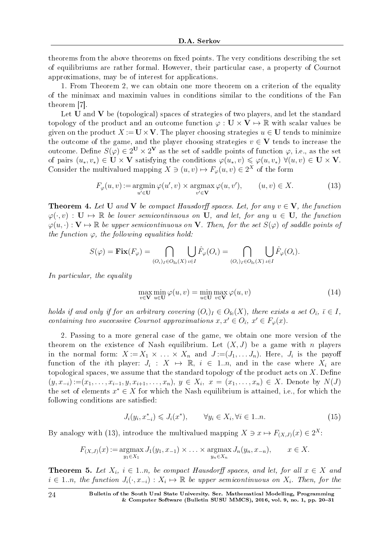theorems from the above theorems on fixed points. The very conditions describing the set of equilibriums are rather formal. However, their particular case, a property of Cournot approximations, may be of interest for applications.

1. From Theorem 2, we can obtain one more theorem on a criterion of the equality of the minimax and maximin values in conditions similar to the conditions of the Fan theorem [7].

Let **U** and **V** be (topological) spaces of strategies of two players, and let the standard topology of the product and an outcome function  $\varphi : \mathbf{U} \times \mathbf{V} \mapsto \mathbb{R}$  with scalar values be given on the product  $X := U \times V$ . The player choosing strategies  $u \in U$  tends to minimize the outcome of the game, and the player choosing strategies  $v \in V$  tends to increase the outcome. Define  $S(\varphi) \in 2^{\mathbf{U}} \times 2^{\mathbf{V}}$  as the set of saddle points of function  $\varphi$ , i.e., as the set of pairs  $(u_*, v_*) \in U \times V$  satisfying the conditions  $\varphi(u_*, v) \leq \varphi(u, v_*) \ \forall (u, v) \in U \times V$ . Consider the multivalued mapping  $X \ni (u, v) \mapsto F_{\varphi}(u, v) \in 2^X$  of the form

$$
F_{\varphi}(u,v) := \underset{u' \in \mathbf{U}}{\operatorname{argmin}} \, \varphi(u',v) \times \underset{v' \in \mathbf{V}}{\operatorname{argmax}} \, \varphi(u,v'), \qquad (u,v) \in X. \tag{13}
$$

**Theorem 4.** Let **U** and **V** be compact Hausdorff spaces. Let, for any  $v \in V$ , the function  $\varphi(\cdot, v) : \mathbf{U} \mapsto \mathbb{R}$  be lower semicontinuous on **U**, and let, for any  $u \in \mathbf{U}$ , the function  $\varphi(u, \cdot): \mathbf{V} \mapsto \mathbb{R}$  be upper semicontinuous on **V**. Then, for the set  $S(\varphi)$  of saddle points of the function  $\varphi$ , the following equalities hold:

$$
S(\varphi) = \mathbf{Fix}(F_{\varphi}) = \bigcap_{(O_{\iota})_I \in O_{\text{fo}}(X)} \bigcup_{\iota \in I} \hat{F}_{\varphi}(O_{\iota}) = \bigcap_{(O_{\iota})_I \in O_{\text{fc}}(X)} \bigcup_{\iota \in I} \hat{F}_{\varphi}(O_{\iota}).
$$

In particular, the equality

$$
\max_{v \in \mathbf{V}} \min_{u \in \mathbf{U}} \varphi(u, v) = \min_{u \in \mathbf{U}} \max_{v \in \mathbf{V}} \varphi(u, v)
$$
(14)

holds if and only if for an arbitrary covering  $(O_\iota)_I \in O_{\text{fc}}(X)$ , there exists a set  $O_{\overline{\iota}}, \overline{\iota} \in I$ , containing two successive Cournot approximations  $x, x' \in O_{\bar{\iota}}, x' \in F_{\varphi}(x)$ .

2. Passing to a more general case of the game, we obtain one more version of the theorem on the existence of Nash equilibrium. Let  $(X, J)$  be a game with *n* players in the normal form:  $X := X_1 \times \ldots \times X_n$  and  $J := (J_1, \ldots J_n)$ . Here,  $J_i$  is the payoff function of the *i*th player:  $J_i: X \mapsto \mathbb{R}, i \in 1..n$ , and in the case where  $X_i$  are topological spaces, we assume that the standard topology of the product acts on  $X$ . Define  $(y, x_{-i}) := (x_1, \ldots, x_{i-1}, y, x_{i+1}, \ldots, x_n), y \in X_i, x = (x_1, \ldots, x_n) \in X.$  Denote by  $N(J)$ the set of elements  $x^* \in X$  for which the Nash equilibrium is attained, i.e., for which the following conditions are satisfied:

$$
J_i(y_i, x_{-i}^*) \leqslant J_i(x^*), \qquad \forall y_i \in X_i, \forall i \in 1..n. \tag{15}
$$

By analogy with (13), introduce the multivalued mapping  $X \ni x \mapsto F_{(X,J)}(x) \in 2^X$ :

$$
F_{(X,J)}(x) := \underset{y_1 \in X_1}{\text{argmax}} J_1(y_1, x_{-1}) \times \ldots \times \underset{y_n \in X_n}{\text{argmax}} J_n(y_n, x_{-n}), \qquad x \in X.
$$

**Theorem 5.** Let  $X_i$ ,  $i \in 1..n$ , be compact Hausdorff spaces, and let, for all  $x \in X$  and  $i \in 1..n$ , the function  $J_i(\cdot, x_{-i}) : X_i \mapsto \mathbb{R}$  be upper semicontinuous on  $X_i$ . Then, for the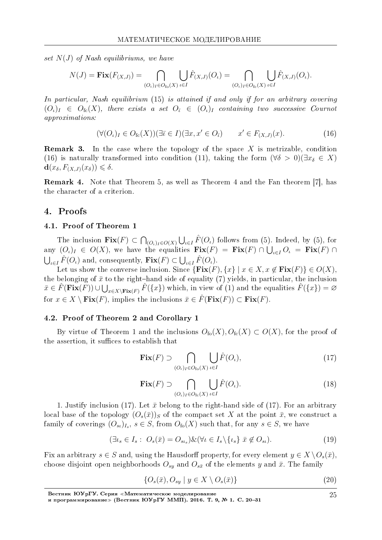set  $N(J)$  of Nash equilibriums, we have

$$
N(J) = \mathbf{Fix}(F_{(X,J)}) = \bigcap_{(O_\iota)_I \in O_{\text{fo}}(X)} \bigcup_{\iota \in I} \hat{F}_{(X,J)}(O_\iota) = \bigcap_{(O_\iota)_I \in O_{\text{fc}}(X)} \bigcup_{\iota \in I} \hat{F}_{(X,J)}(O_\iota).
$$

In particular, Nash equilibrium (15) is attained if and only if for an arbitrary covering  $(O_{\iota})_I \in O_{\text{fc}}(X)$ , there exists a set  $O_{\bar{\iota}} \in (O_{\iota})_I$  containing two successive Cournot approximations:

$$
(\forall (O_i)_I \in O_{\text{fc}}(X))(\exists \overline{\iota} \in I)(\exists x, x' \in O_{\overline{\iota}}) \qquad x' \in F_{(X,J)}(x). \tag{16}
$$

Remark 3. In the case where the topology of the space *X* is metrizable, condition (16) is naturally transformed into condition (11), taking the form  $(\forall \delta > 0)(\exists x_{\delta} \in X)$  $\mathbf{d}(x_{\delta}, F_{(X,J)}(x_{\delta})) \leq \delta.$ 

Remark 4. Note that Theorem 5, as well as Theorem 4 and the Fan theorem [7], has the character of a criterion.

#### 4. Proofs

#### 4.1. Proof of Theorem 1

The inclusion  $\textbf{Fix}(F) \subset \bigcap_{(O_\iota)_I \in O(X)} \bigcup_{\iota \in I} \hat{F}(O_\iota)$  follows from (5). Indeed, by (5), for any  $(O_\iota)_I \in O(X)$ , we have the equalities  $\mathbf{Fix}(F) = \mathbf{Fix}(F) \cap \bigcup_{\iota \in I} O_\iota = \mathbf{Fix}(F) \cap$  $\bigcup_{\iota \in I} \hat{F}(O_{\iota})$  and, consequently,  $\textbf{Fix}(F) \subset \bigcup_{\iota \in I} \hat{F}(O_{\iota})$ .

Let us show the converse inclusion. Since  ${\text{Fix}(F), \{x\} \mid x \in X, x \notin \text{Fix}(F)\} \in O(X)$ , the belonging of  $\bar{x}$  to the right-hand side of equality (7) yields, in particular, the inclusion  $\bar{x} \in \hat{F}(\mathbf{Fix}(\overline{F})) \cup \bigcup_{x \in X \setminus \mathbf{Fix}(F)} \hat{F}(\{x\})$  which, in view of (1) and the equalities  $\hat{F}(\{x\}) = \varnothing$ for  $x \in X \setminus \textbf{Fix}(F)$ , implies the inclusions  $\overline{x} \in \hat{F}(\textbf{Fix}(F)) \subset \textbf{Fix}(F)$ .

#### 4.2. Proof of Theorem 2 and Corollary 1

By virtue of Theorem 1 and the inclusions  $O_{f_0}(X)$ ,  $O_{f_0}(X) \subset O(X)$ , for the proof of the assertion, it suffices to establish that

$$
\mathbf{Fix}(F) \supset \bigcap_{(O_{\iota})_I \in O_{\text{fo}}(X)} \bigcup_{\iota \in I} \hat{F}(O_{\iota}),\tag{17}
$$

$$
\mathbf{Fix}(F) \supset \bigcap_{(O_{\iota})_I \in O_{\text{fc}}(X)} \bigcup_{\iota \in I} \hat{F}(O_{\iota}).\tag{18}
$$

1. Justify inclusion (17). Let  $\bar{x}$  belong to the right-hand side of (17). For an arbitrary local base of the topology  $(O_s(\bar{x}))_S$  of the compact set X at the point  $\bar{x}$ , we construct a family of coverings  $(O_{s_i})_{I_s}$ ,  $s \in S$ , from  $O_{f_0}(X)$  such that, for any  $s \in S$ , we have

$$
(\exists \iota_s \in I_s : O_s(\bar{x}) = O_{s\iota_s}) \& (\forall \iota \in I_s \setminus \{\iota_s\} \ \bar{x} \not\in O_{s\iota}). \tag{19}
$$

Fix an arbitrary  $s \in S$  and, using the Hausdorff property, for every element  $y \in X \setminus O_s(\bar{x})$ , choose disjoint open neighborhoods  $O_{sy}$  and  $O_{s\bar{x}}$  of the elements *y* and  $\bar{x}$ . The family

$$
\{O_s(\bar{x}), O_{sy} \mid y \in X \setminus O_s(\bar{x})\}
$$
\n
$$
(20)
$$

Вестник ЮУрГУ. Серия «Математическое моделирование

и программирование≫ (Вестник ЮУрГУ ММП). 2016. Т. 9, № 1. C. 20–31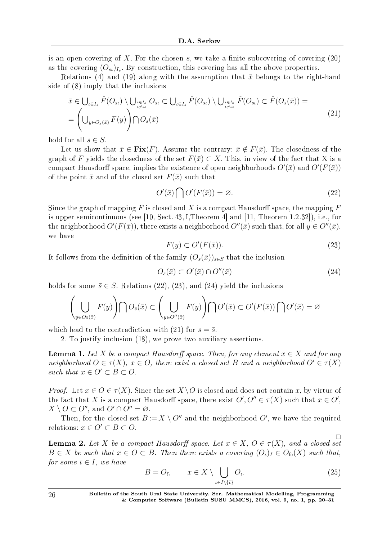is an open covering of X. For the chosen  $s$ , we take a finite subcovering of covering  $(20)$ as the covering  $(O_{s_l})_{I_s}$ . By construction, this covering has all the above properties.

Relations (4) and (19) along with the assumption that  $\bar{x}$  belongs to the right-hand side of (8) imply that the inclusions

$$
\bar{x} \in \bigcup_{\iota \in I_s} \hat{F}(O_{st}) \setminus \bigcup_{\iota \in I_s} O_{st} \subset \bigcup_{\iota \in I_s} \hat{F}(O_{st}) \setminus \bigcup_{\iota \in I_s} \hat{F}(O_{st}) \subset \hat{F}(O_s(\bar{x})) =
$$
\n
$$
= \left( \bigcup_{y \in O_s(\bar{x})} F(y) \right) \cap O_s(\bar{x})
$$
\n
$$
(21)
$$

hold for all  $s \in S$ .

Let us show that  $\bar{x} \in \text{Fix}(F)$ . Assume the contrary:  $\bar{x} \notin F(\bar{x})$ . The closedness of the graph of *F* yields the closedness of the set  $F(\bar{x}) \subset X$ . This, in view of the fact that X is a compact Hausdorff space, implies the existence of open neighborhoods  $O'(\bar{x})$  and  $O'(F(\bar{x}))$ of the point  $\bar{x}$  and of the closed set  $F(\bar{x})$  such that

$$
O'(\bar{x})\bigcap O'(F(\bar{x})) = \varnothing. \tag{22}
$$

Since the graph of mapping  $F$  is closed and  $X$  is a compact Hausdorff space, the mapping  $F$ is upper semicontinuous (see [10, Sect. 43, I, Theorem 4] and [11, Theorem 1.2.32]), i.e., for the neighborhood  $O'(F(\bar{x}))$ , there exists a neighborhood  $O''(\bar{x})$  such that, for all  $y \in O''(\bar{x})$ , we have

$$
F(y) \subset O'(F(\bar{x})).\tag{23}
$$

It follows from the definition of the family  $(O_s(\bar{x}))_{s\in S}$  that the inclusion

$$
O_{\bar{s}}(\bar{x}) \subset O'(\bar{x}) \cap O''(\bar{x}) \tag{24}
$$

holds for some  $\bar{s} \in S$ . Relations (22), (23), and (24) yield the inclusions

$$
\left(\bigcup_{y\in O_{\bar s}(\bar x)}F(y)\right)\bigcap O_{\bar s}(\bar x)\subset \left(\bigcup_{y\in O''(\bar x)}F(y)\right)\bigcap O'(\bar x)\subset O'(F(\bar x))\bigcap O'(\bar x)=\varnothing
$$

which lead to the contradiction with (21) for  $s = \bar{s}$ .

2. To justify inclusion (18), we prove two auxiliary assertions.

**Lemma 1.** Let *X* be a compact Hausdorff space. Then, for any element  $x \in X$  and for any neighborhood  $O \in \tau(X)$ ,  $x \in O$ , there exist a closed set *B* and a neighborhood  $O' \in \tau(X)$ such that  $x \in O' \subset B \subset O$ .

*Proof.* Let  $x \in O \in \tau(X)$ . Since the set  $X \setminus O$  is closed and does not contain x, by virtue of the fact that *X* is a compact Hausdorff space, there exist  $O', O'' \in \tau(X)$  such that  $x \in O'$ ,  $X \setminus O \subset O''$ , and  $O' \cap O'' = \emptyset$ .

Then, for the closed set  $B := X \setminus O''$  and the neighborhood  $O'$ , we have the required relations:  $x \in O' \subset B \subset O$ .

 $\Box$ **Lemma 2.** Let *X* be a compact Hausdorff space. Let  $x \in X$ ,  $O \in \tau(X)$ , and a closed set  $B \in X$  be such that  $x \in O \subset B$ . Then there exists a covering  $(O_i)_I \in O_{\mathsf{fc}}(X)$  such that, for some  $\overline{\iota} \in I$ , we have

$$
B = O_{\bar{\iota}}, \qquad x \in X \setminus \bigcup_{\iota \in I \setminus \{\bar{\iota}\}} O_{\iota}.
$$
 (25)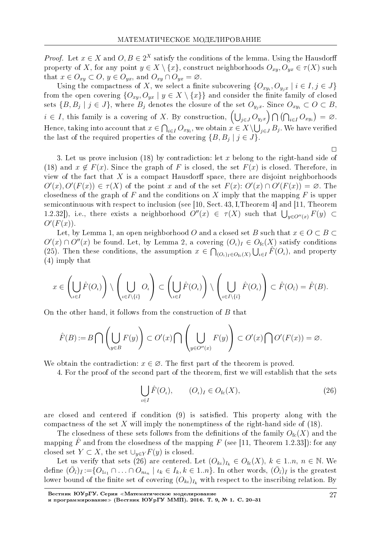*Proof.* Let  $x \in X$  and  $O, B \in 2^X$  satisfy the conditions of the lemma. Using the Hausdorff property of *X*, for any point  $y \in X \setminus \{x\}$ , construct neighborhoods  $O_{xy}$ ,  $O_{yx} \in \tau(X)$  such that  $x \in O_{xy} \subset O, y \in O_{yx}$ , and  $O_{xy} \cap O_{yx} = \emptyset$ .

Using the compactness of *X*, we select a finite subcovering  $\{O_{xy_i}, O_{y_jx} \mid i \in I, j \in J\}$ from the open covering  $\{O_{xy}, O_{yx} | y \in X \setminus \{x\}\}\$ and consider the finite family of closed sets  $\{B,B_j\mid j\in J\},$  where  $B_j$  denotes the closure of the set  $O_{y_jx}.$  Since  $O_{xy_i}\subset O\subset B,$  $i \in I$ , this family is a covering of *X*. By construction,  $\left(\bigcup_{j\in J} O_{y_jx}\right) \bigcap \left(\bigcap_{i\in I} O_{xy_i}\right) = \varnothing$ . Hence, taking into account that  $x \in \bigcap_{i \in I} O_{xy_i}$ , we obtain  $x \in X \backslash \bigcup_{j \in J} B_j$ . We have verified the last of the required properties of the covering  ${B, B_j | j \in J}$ .

 $\Box$ 

3. Let us prove inclusion (18) by contradiction: let *x* belong to the right-hand side of (18) and  $x \notin F(x)$ . Since the graph of *F* is closed, the set  $F(x)$  is closed. Therefore, in view of the fact that  $X$  is a compact Hausdorff space, there are disjoint neighborhoods  $O'(x), O'(F(x)) \in \tau(X)$  of the point x and of the set  $F(x)$ :  $O'(x) \cap O'(F(x)) = \emptyset$ . The closedness of the graph of *F* and the conditions on *X* imply that the mapping *F* is upper semicontinuous with respect to inclusion (see [10, Sect. 43, I,Theorem 4] and [11, Theorem 1.2.32]), i.e., there exists a neighborhood  $O''(x) \in \tau(X)$  such that  $\bigcup_{y \in O''(x)} F(y) \subset$ *O′* (*F*(*x*))*.*

Let, by Lemma 1, an open neighborhood *O* and a closed set *B* such that  $x \in O \subset B$  $O'(x) \cap O''(x)$  be found. Let, by Lemma 2, a covering  $(O_\iota)_I \in O_{\text{fc}}(X)$  satisfy conditions (25). Then these conditions, the assumption  $x \in \bigcap_{(O_\iota)_I \in O_{\text{fc}}(X)} \bigcup_{\iota \in I} \hat{F}(O_\iota)$ , and property (4) imply that

$$
x \in \left(\bigcup_{\iota \in I} \hat{F}(O_{\iota})\right) \setminus \left(\bigcup_{\iota \in I \setminus \{\bar{\iota}\}} O_{\iota}\right) \subset \left(\bigcup_{\iota \in I} \hat{F}(O_{\iota})\right) \setminus \left(\bigcup_{\iota \in I \setminus \{\bar{\iota}\}} \hat{F}(O_{\iota})\right) \subset \hat{F}(O_{\bar{\iota}}) = \hat{F}(B).
$$

On the other hand, it follows from the construction of *B* that

$$
\hat{F}(B) := B \bigcap \left(\bigcup_{y \in B} F(y)\right) \subset O'(x) \bigcap \left(\bigcup_{y \in O''(x)} F(y)\right) \subset O'(x) \bigcap O'(F(x)) = \varnothing.
$$

We obtain the contradiction:  $x \in \emptyset$ . The first part of the theorem is proved.

4. For the proof of the second part of the theorem, first we will establish that the sets

$$
\bigcup_{\iota \in I} \hat{F}(O_{\iota}), \qquad (O_{\iota})_I \in O_{\text{fc}}(X), \tag{26}
$$

are closed and centered if condition  $(9)$  is satisfied. This property along with the compactness of the set *X* will imply the nonemptiness of the right-hand side of (18).

The closedness of these sets follows from the definitions of the family  $O_{\text{fc}}(X)$  and the mapping  $\hat{F}$  and from the closedness of the mapping  $F$  (see [11, Theorem 1.2.33]): for any closed set  $Y \subset X$ , the set  $\bigcup_{y \in Y} F(y)$  is closed.

Let us verify that sets (26) are centered. Let  $(O_{k_l})_{I_k} \in O_{\text{fc}}(X), k \in 1..n, n \in \mathbb{N}$ . We define  $(\bar{O}_{\bar{t}})_{\bar{I}} := \{O_{1\iota_1} \cap \ldots \cap O_{n\iota_n} \mid \iota_k \in I_k, k \in 1..n\}$ . In other words,  $(\bar{O}_{\bar{t}})_{\bar{I}}$  is the greatest lower bound of the finite set of covering  $(O_{k_l})_{I_k}$  with respect to the inscribing relation. By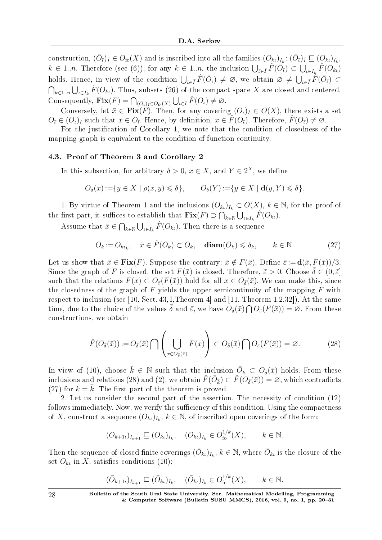construction,  $(\bar{O}_{\bar{t}})_{\bar{I}} \in O_{\text{fc}}(X)$  and is inscribed into all the families  $(O_{k\iota})_{I_k}: (\bar{O}_{\bar{t}})_{\bar{I}} \subseteq (O_{k\iota})_{I_k}$ ,  $k \in 1..n$ . Therefore (see (6)), for any  $k \in 1..n$ , the inclusion  $\bigcup_{\bar{\iota} \in \bar{I}} \hat{F}(\bar{O}_{\bar{\iota}}) \subset \bigcup_{\iota \in I_k} \hat{F}(O_{k\iota})$ holds. Hence, in view of the condition  $\bigcup_{\bar{\iota} \in \bar{I}} \hat{F}(\bar{O}_{\iota}) \neq \emptyset$ , we obtain  $\emptyset \neq \bigcup_{\bar{\iota} \in \bar{I}} \hat{F}(\bar{O}_{\bar{\iota}}) \subset$  $∩_{k∈1..n} ∪_{\iota∈I_k}$   $F(O_{k\iota})$ . Thus, subsets (26) of the compact space *X* are closed and centered. Consequently,  $\mathbf{Fix}(F) = \bigcap_{(O_\iota)_I \in O_{\text{fc}}(X)} \bigcup_{\iota \in I} \hat{F}(O_\iota) \neq \emptyset$ .

Conversely, let  $\bar{x} \in \textbf{Fix}(F)$ . Then, for any covering  $(O_{\iota})_I \in O(X)$ , there exists a set  $O_{\bar{\iota}} \in (O_{\iota})_I$  such that  $\bar{x} \in O_{\bar{\iota}}$ . Hence, by definition,  $\bar{x} \in \tilde{F}(O_{\bar{\iota}})$ . Therefore,  $\hat{F}(O_{\bar{\iota}}) \neq \varnothing$ .

For the justification of Corollary 1, we note that the condition of closedness of the mapping graph is equivalent to the condition of function continuity.

### 4.3. Proof of Theorem 3 and Corollary 2

In this subsection, for arbitrary  $\delta > 0$ ,  $x \in X$ , and  $Y \in 2^X$ , we define

$$
O_{\delta}(x) := \{ y \in X \mid \rho(x, y) \leq \delta \}, \qquad O_{\delta}(Y) := \{ y \in X \mid \mathbf{d}(y, Y) \leq \delta \}.
$$

1. By virtue of Theorem 1 and the inclusions  $(O_{k_l})_{I_k} \subset O(X)$ ,  $k \in \mathbb{N}$ , for the proof of the first part, it suffices to establish that  $\textbf{Fix}(F) \supset \bigcap_{k \in \mathbb{N}} \bigcup_{\iota \in I_k} \hat{F}(O_{k\iota})$ .

Assume that  $\bar{x} \in \bigcap_{k \in \mathbb{N}} \bigcup_{\iota \in I_k} \hat{F}(O_{k\iota})$ . Then there is a sequence

$$
\bar{O}_k := O_{k\iota_k}, \quad \bar{x} \in \hat{F}(\bar{O}_k) \subset \bar{O}_k, \quad \mathbf{diam}(\bar{O}_k) \leq \delta_k, \qquad k \in \mathbb{N}.
$$

Let us show that  $\bar{x} \in \textbf{Fix}(F)$ . Suppose the contrary:  $\bar{x} \notin F(\bar{x})$ . Define  $\bar{\varepsilon} := \textbf{d}(\bar{x}, F(\bar{x}))/3$ . Since the graph of *F* is closed, the set  $F(\bar{x})$  is closed. Therefore,  $\bar{\varepsilon} > 0$ . Choose  $\bar{\delta} \in (0, \bar{\varepsilon}]$ such that the relations  $F(x) \subset O_{\tilde{\varepsilon}}(F(\bar{x}))$  hold for all  $x \in O_{\tilde{\varepsilon}}(\bar{x})$ . We can make this, since the closedness of the graph of *F* yields the upper semicontinuity of the mapping *F* with respect to inclusion (see [10, Sect. 43, I,Theorem 4] and [11, Theorem 1.2.32]). At the same time, due to the choice of the values  $\bar{\delta}$  and  $\bar{\varepsilon}$ , we have  $O_{\bar{\delta}}(\bar{x}) \cap O_{\bar{\varepsilon}}(F(\bar{x})) = \emptyset$ . From these constructions, we obtain

$$
\hat{F}(O_{\bar{\delta}}(\bar{x})) := O_{\bar{\delta}}(\bar{x}) \cap \left(\bigcup_{x \in O_{\bar{\delta}}(\bar{x})} F(x)\right) \subset O_{\bar{\delta}}(\bar{x}) \cap O_{\bar{\epsilon}}(F(\bar{x})) = \varnothing. \tag{28}
$$

In view of (10), choose  $\bar{k} \in \mathbb{N}$  such that the inclusion  $\overline{O}_{\bar{k}} \subset O_{\bar{\delta}}(\bar{x})$  holds. From these  $\text{inclusions and relations (28) and (2), we obtain }\hat{F}(\bar{O}_{\bar{k}})\subset \hat{F}(O_{\bar{\delta}}(\bar{x}))=\varnothing, \text{ which contradicts}\}.$  $(27)$  for  $k = \overline{k}$ . The first part of the theorem is proved.

2. Let us consider the second part of the assertion. The necessity of condition (12) follows immediately. Now, we verify the sufficiency of this condition. Using the compactness of *X*, construct a sequence  $(O_{k_l})_{I_k}$ ,  $k \in \mathbb{N}$ , of inscribed open coverings of the form:

$$
(O_{k+1})_{I_{k+1}} \sqsubseteq (O_{k})_{I_k}, \quad (O_{k})_{I_k} \in O_{\text{fo}}^{1/k}(X), \qquad k \in \mathbb{N}.
$$

Then the sequence of closed finite coverings  $(\bar{O}_{k\iota})_{I_k},\,k\in\mathbb{N},$  where  $\bar{O}_{k\iota}$  is the closure of the set  $O_{k_l}$  in X, satisfies conditions (10):

$$
(\bar{O}_{k+1})_{I_{k+1}} \sqsubseteq (\bar{O}_{k})_{I_k}, \quad (\bar{O}_{k})_{I_k} \in O_{\mathrm{fc}}^{1/k}(X), \qquad k \in \mathbb{N}.
$$

28 Bulletin of the South Ural State University. Ser. Mathematical Modelling, Programming  $&$  Computer Software (Bulletin SUSU MMCS), 2016, vol. 9, no. 1, pp. 20–31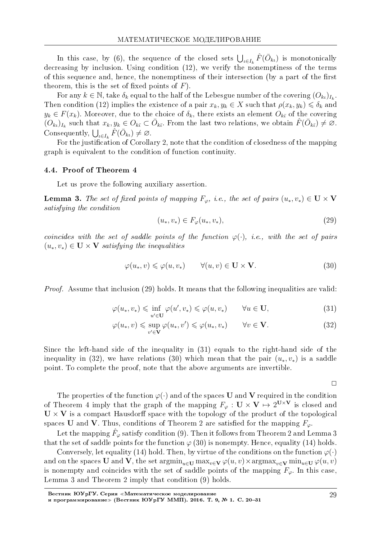In this case, by (6), the sequence of the closed sets  $\bigcup_{\iota \in I_k} \hat{F}(\bar{O}_{k\iota})$  is monotonically decreasing by inclusion. Using condition (12), we verify the nonemptiness of the terms of this sequence and, hence, the nonemptiness of their intersection (by a part of the first theorem, this is the set of fixed points of  $F$ ).

For any  $k \in \mathbb{N}$ , take  $\delta_k$  equal to the half of the Lebesgue number of the covering  $(O_{k\iota})_{I_k}$ . Then condition (12) implies the existence of a pair  $x_k, y_k \in X$  such that  $\rho(x_k, y_k) \leq \delta_k$  and  $y_k \in F(x_k)$ . Moreover, due to the choice of  $\delta_k$ , there exists an element  $O_{k\bar{\iota}}$  of the covering  $(O_{k\iota})_{I_k}$  such that  $x_k, y_k \in O_{k\bar{\iota}} \subset \bar{O}_{k\bar{\iota}}$ . From the last two relations, we obtain  $\hat{F}(\bar{O}_{k\bar{\iota}}) \neq \emptyset$ . Consequently,  $\bigcup_{\iota \in I_k} \hat{F}(\bar{O}_{k\iota}) \neq \emptyset$ .

For the justification of Corollary 2, note that the condition of closedness of the mapping graph is equivalent to the condition of function continuity.

#### 4.4. Proof of Theorem 4

Let us prove the following auxiliary assertion.

**Lemma 3.** The set of fixed points of mapping  $F_\varphi$ , i.e., the set of pairs  $(u_*, v_*) \in U \times V$ satisfying the condition

$$
(u_*, v_*) \in F_{\varphi}(u_*, v_*), \tag{29}
$$

coincides with the set of saddle points of the function  $\varphi(\cdot)$ , i.e., with the set of pairs  $(u_*, v_*)$  ∈ **U** × **V** satisfying the inequalities

$$
\varphi(u_*,v) \leq \varphi(u,v_*) \qquad \forall (u,v) \in \mathbf{U} \times \mathbf{V}.\tag{30}
$$

Proof. Assume that inclusion (29) holds. It means that the following inequalities are valid:

$$
\varphi(u_*, v_*) \leq \inf_{u' \in \mathbf{U}} \varphi(u', v_*) \leq \varphi(u, v_*) \qquad \forall u \in \mathbf{U}, \tag{31}
$$

$$
\varphi(u_*,v) \leq \sup_{v' \in \mathbf{V}} \varphi(u_*,v') \leq \varphi(u_*,v_*) \qquad \forall v \in \mathbf{V}.\tag{32}
$$

Since the left-hand side of the inequality in (31) equals to the right-hand side of the inequality in (32), we have relations (30) which mean that the pair  $(u_*, v_*)$  is a saddle point. To complete the proof, note that the above arguments are invertible.

 $\Box$ 

The properties of the function  $\varphi(\cdot)$  and of the spaces **U** and **V** required in the condition of Theorem 4 imply that the graph of the mapping  $F_{\varphi}: \mathbf{U} \times \mathbf{V} \mapsto 2^{\mathbf{U} \times \mathbf{V}}$  is closed and  $\mathbf{U} \times \mathbf{V}$  is a compact Hausdorff space with the topology of the product of the topological spaces **U** and **V**. Thus, conditions of Theorem 2 are satisfied for the mapping  $F_\varphi$ .

Let the mapping  $\hat{F}_{\varphi}$  satisfy condition (9). Then it follows from Theorem 2 and Lemma 3 that the set of saddle points for the function  $\varphi$  (30) is nonempty. Hence, equality (14) holds.

Conversely, let equality (14) hold. Then, by virtue of the conditions on the function  $\varphi(\cdot)$ and on the spaces **U** and **V**, the set argmin<sub>u∈**U**</sub> max<sub>*v*∈**v**</del>  $\varphi(u, v) \times \argmax_{v \in \mathbf{V}} \min_{u \in \mathbf{U}} \varphi(u, v)$ </sub> is nonempty and coincides with the set of saddle points of the mapping  $F_\varphi$ . In this case, Lemma 3 and Theorem 2 imply that condition (9) holds.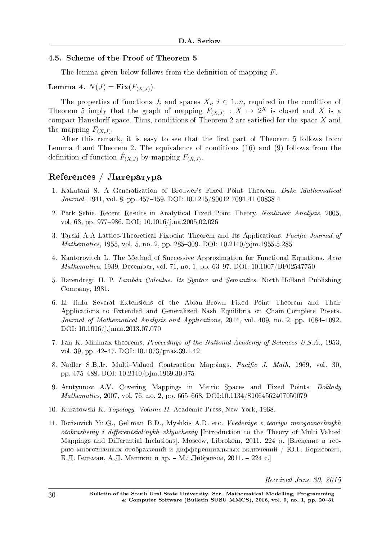## 4.5. Scheme of the Proof of Theorem 5

The lemma given below follows from the definition of mapping *F*.

# Lemma 4.  $N(J) = \textbf{Fix}(F_{(X,J)})$ .

The properties of functions  $J_i$  and spaces  $X_i$ ,  $i \in 1..n$ , required in the condition of Theorem 5 imply that the graph of mapping  $F_{(X,J)}: X \mapsto 2^X$  is closed and X is a compact Hausdorff space. Thus, conditions of Theorem 2 are satisfied for the space  $X$  and the mapping  $F_{(X,J)}$ .

After this remark, it is easy to see that the first part of Theorem 5 follows from Lemma 4 and Theorem 2. The equivalence of conditions (16) and (9) follows from the definition of function  $\hat{F}_{(X,J)}$  by mapping  $F_{(X,J)}$ .

# $Ref$ erences / Литература

- 1. Kakutani S. A Generalization of Brouwer's Fixed Point Theorem. Duke Mathematical Journal, 1941, vol. 8, pp. 457-459. DOI: 10.1215/S0012-7094-41-00838-4
- 2. Park Sehie. Recent Results in Analytical Fixed Point Theory. Nonlinear Analysis, 2005, vol. 63, pp. 977–986. DOI: 10.1016/j.na.2005.02.026
- 3. Tarski A.A Lattice-Theoretical Fixpoint Theorem and Its Applications. Pacific Journal of *Mathematics*, 1955, vol. 5, no. 2, pp. 285-309. DOI:  $10.2140/p$  jm.1955.5.285
- 4. Kantorovitch L. The Method of Successive Approximation for Functional Equations. Acta  $Mathematica, 1939, December, vol. 71, no. 1, pp. 63–97. DOI:  $10.1007/BF02547750$$
- 5. Barendregt H. P. Lambda Calculus. Its Syntax and Semantics. North-Holland Publishing Company, 1981.
- 6. Li Jinlu Several Extensions of the Abian-Brown Fixed Point Theorem and Their Applications to Extended and Generalized Nash Equilibria on Chain-Complete Posets. Journal of Mathematical Analysis and Applications,  $2014$ , vol.  $409$ , no. 2, pp.  $1084-1092$ . DOI: 10.1016/j.jmaa.2013.07.070
- 7. Fan K. Minimax theorems. Proceedings of the National Academy of Sciences U.S.A., 1953, vol. 39, pp. 42-47. DOI: 10.1073/pnas.39.1.42
- 8. Nadler S.B.Jr. Multi-Valued Contraction Mappings. Pacific J. Math, 1969, vol. 30 pp. 475488. DOI: 10.2140/pjm.1969.30.475
- 9. Arutyunov A.V. Covering Mappings in Metric Spaces and Fixed Points. Doklady Mathematics, 2007, vol. 76, no. 2, pp. 665-668. DOI:10.1134/S1064562407050079
- 10. Kuratowski K. Topology. Volume II. Academic Press, New York, 1968.
- 11. Borisovich Yu.G., Gel'man B.D., Myshkis A.D. etc. Vvedeniye v teoriyu mnogoznachnykh otobrazheniy i differentsial'nykh vklyucheniy [Introduction to the Theory of Multi-Valued Mappings and Differential Inclusions. Moscow, Librokom, 2011. 224 р. [Введение в теорию многозначных отображений и дифференциальных включений / Ю.Г. Борисович, Б.Д. Гельман, А.Д. Мышкис и др. – М.: Либроком, 2011. – 224 с.]

Received June 30, 2015